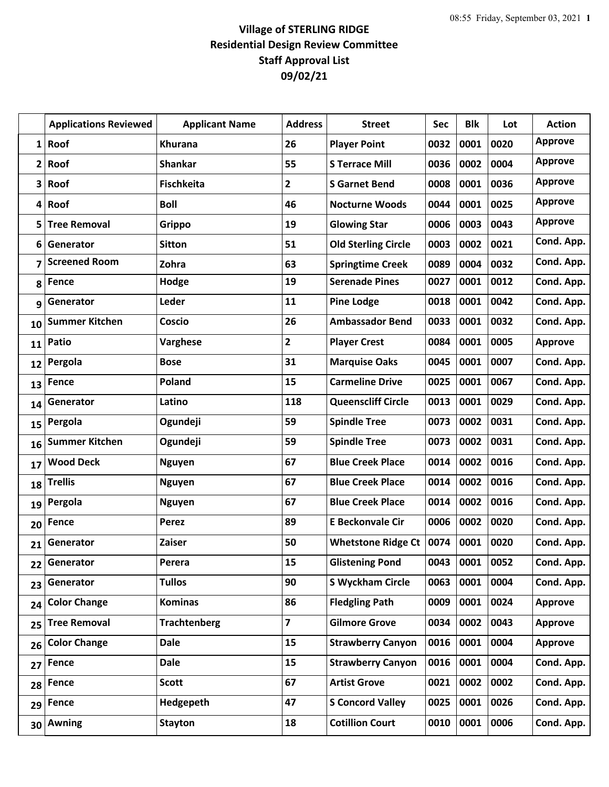## **Village of STERLING RIDGE Residential Design Review Committee Staff Approval List 09/02/21**

|                 | <b>Applications Reviewed</b> | <b>Applicant Name</b> | <b>Address</b> | <b>Street</b>              | Sec  | <b>Blk</b> | Lot  | <b>Action</b>  |
|-----------------|------------------------------|-----------------------|----------------|----------------------------|------|------------|------|----------------|
| $1\vert$        | Roof                         | <b>Khurana</b>        | 26             | <b>Player Point</b>        | 0032 | 0001       | 0020 | <b>Approve</b> |
| $\mathbf{2}$    | Roof                         | <b>Shankar</b>        | 55             | <b>S Terrace Mill</b>      | 0036 | 0002       | 0004 | <b>Approve</b> |
| 3               | Roof                         | <b>Fischkeita</b>     | $\mathbf{2}$   | <b>S</b> Garnet Bend       | 0008 | 0001       | 0036 | <b>Approve</b> |
| 4               | Roof                         | <b>Boll</b>           | 46             | <b>Nocturne Woods</b>      | 0044 | 0001       | 0025 | <b>Approve</b> |
| 5               | <b>Tree Removal</b>          | <b>Grippo</b>         | 19             | <b>Glowing Star</b>        | 0006 | 0003       | 0043 | <b>Approve</b> |
| 6               | Generator                    | <b>Sitton</b>         | 51             | <b>Old Sterling Circle</b> | 0003 | 0002       | 0021 | Cond. App.     |
| 7               | <b>Screened Room</b>         | Zohra                 | 63             | <b>Springtime Creek</b>    | 0089 | 0004       | 0032 | Cond. App.     |
| 8               | Fence                        | Hodge                 | 19             | <b>Serenade Pines</b>      | 0027 | 0001       | 0012 | Cond. App.     |
| 9               | Generator                    | Leder                 | 11             | <b>Pine Lodge</b>          | 0018 | 0001       | 0042 | Cond. App.     |
| 10              | <b>Summer Kitchen</b>        | Coscio                | 26             | <b>Ambassador Bend</b>     | 0033 | 0001       | 0032 | Cond. App.     |
| 11              | Patio                        | Varghese              | $\overline{2}$ | <b>Player Crest</b>        | 0084 | 0001       | 0005 | <b>Approve</b> |
| 12              | Pergola                      | <b>Bose</b>           | 31             | <b>Marquise Oaks</b>       | 0045 | 0001       | 0007 | Cond. App.     |
| 13              | Fence                        | Poland                | 15             | <b>Carmeline Drive</b>     | 0025 | 0001       | 0067 | Cond. App.     |
| 14              | Generator                    | Latino                | 118            | <b>Queenscliff Circle</b>  | 0013 | 0001       | 0029 | Cond. App.     |
| 15              | Pergola                      | Ogundeji              | 59             | <b>Spindle Tree</b>        | 0073 | 0002       | 0031 | Cond. App.     |
| 16              | <b>Summer Kitchen</b>        | Ogundeji              | 59             | <b>Spindle Tree</b>        | 0073 | 0002       | 0031 | Cond. App.     |
| 17              | <b>Wood Deck</b>             | <b>Nguyen</b>         | 67             | <b>Blue Creek Place</b>    | 0014 | 0002       | 0016 | Cond. App.     |
| 18              | <b>Trellis</b>               | <b>Nguyen</b>         | 67             | <b>Blue Creek Place</b>    | 0014 | 0002       | 0016 | Cond. App.     |
| 19              | Pergola                      | <b>Nguyen</b>         | 67             | <b>Blue Creek Place</b>    | 0014 | 0002       | 0016 | Cond. App.     |
| 20              | <b>Fence</b>                 | Perez                 | 89             | <b>E Beckonvale Cir</b>    | 0006 | 0002       | 0020 | Cond. App.     |
| 21              | Generator                    | <b>Zaiser</b>         | 50             | <b>Whetstone Ridge Ct</b>  | 0074 | 0001       | 0020 | Cond. App.     |
| 22              | Generator                    | Perera                | 15             | <b>Glistening Pond</b>     | 0043 | 0001       | 0052 | Cond. App.     |
| 23              | Generator                    | <b>Tullos</b>         | 90             | <b>S Wyckham Circle</b>    | 0063 | 0001       | 0004 | Cond. App.     |
| 24              | <b>Color Change</b>          | <b>Kominas</b>        | 86             | <b>Fledgling Path</b>      | 0009 | 0001       | 0024 | <b>Approve</b> |
| 25              | <b>Tree Removal</b>          | <b>Trachtenberg</b>   | $\overline{7}$ | <b>Gilmore Grove</b>       | 0034 | 0002       | 0043 | Approve        |
| 26              | <b>Color Change</b>          | <b>Dale</b>           | 15             | <b>Strawberry Canyon</b>   | 0016 | 0001       | 0004 | <b>Approve</b> |
| 27              | Fence                        | <b>Dale</b>           | 15             | <b>Strawberry Canyon</b>   | 0016 | 0001       | 0004 | Cond. App.     |
| 28              | Fence                        | <b>Scott</b>          | 67             | <b>Artist Grove</b>        | 0021 | 0002       | 0002 | Cond. App.     |
| 29              | Fence                        | Hedgepeth             | 47             | <b>S Concord Valley</b>    | 0025 | 0001       | 0026 | Cond. App.     |
| 30 <sup>1</sup> | Awning                       | <b>Stayton</b>        | 18             | <b>Cotillion Court</b>     | 0010 | 0001       | 0006 | Cond. App.     |